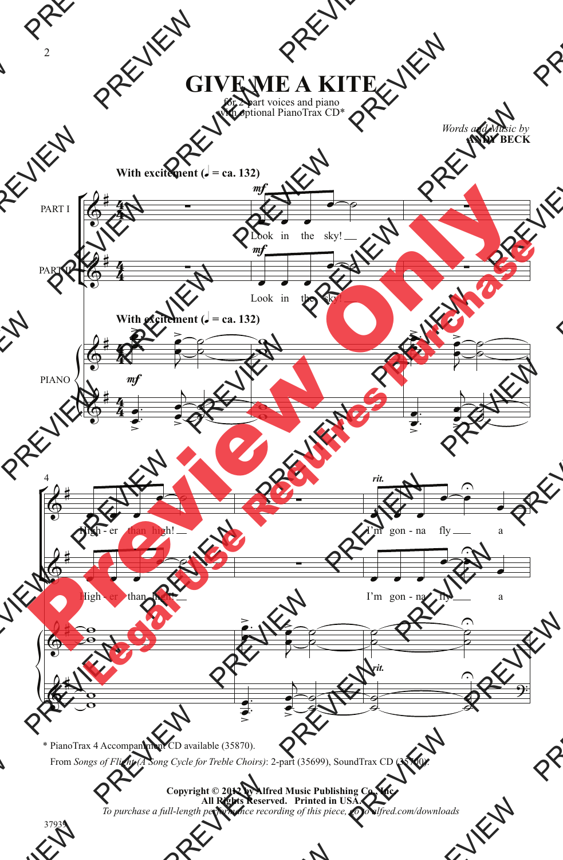for 2-part voices and piano with optional PianoTrax CD\*

> *Words and Music by* **ANDY BECK**



<sup>\*</sup> PianoTrax 4 Accompaniment CD available (35870).

From *Songs of Flight (A Song Cycle for Treble Choirs)*: 2-part (35699), SoundTrax CD (35700).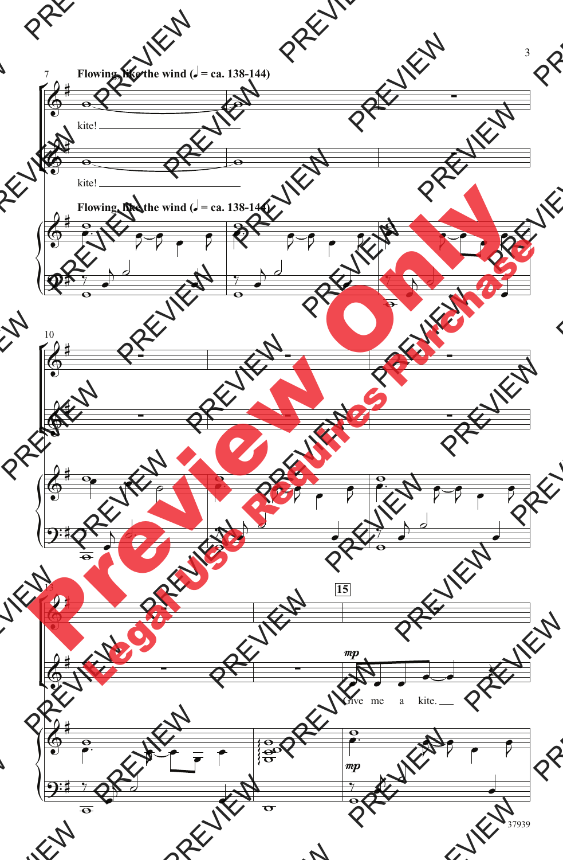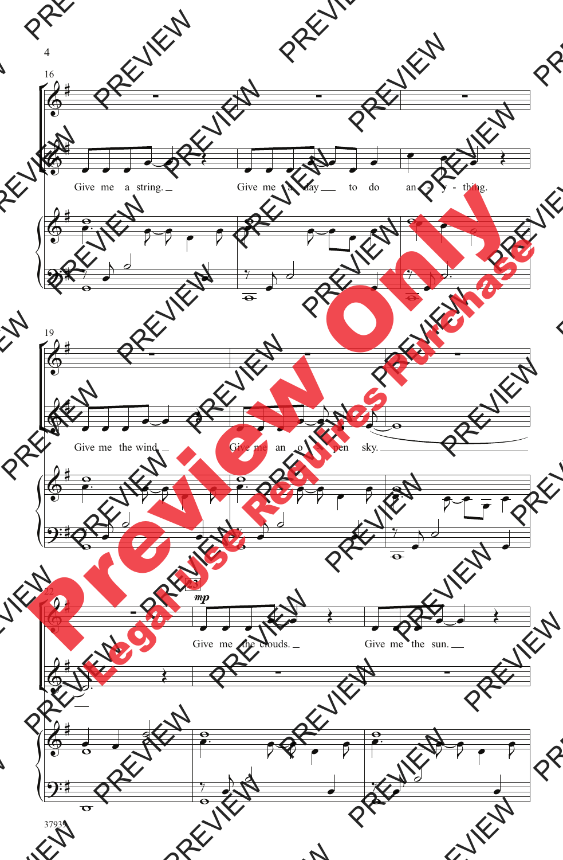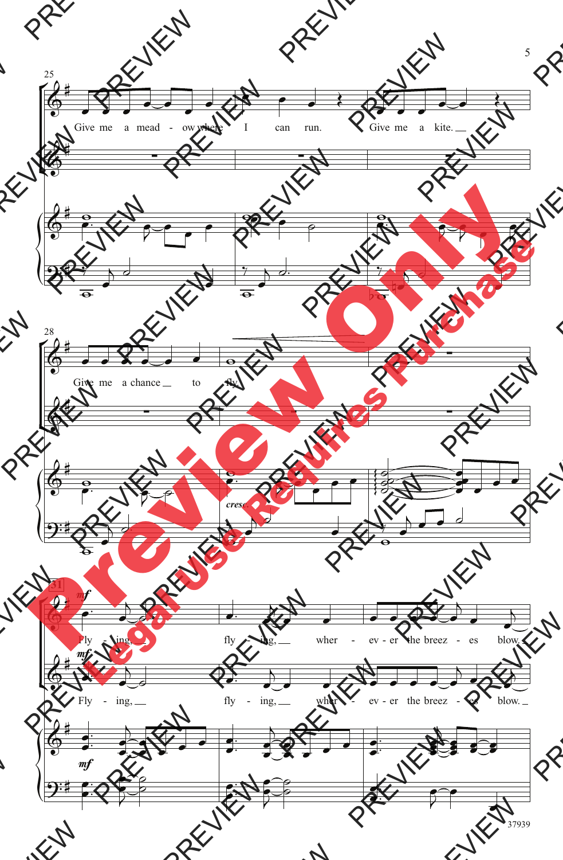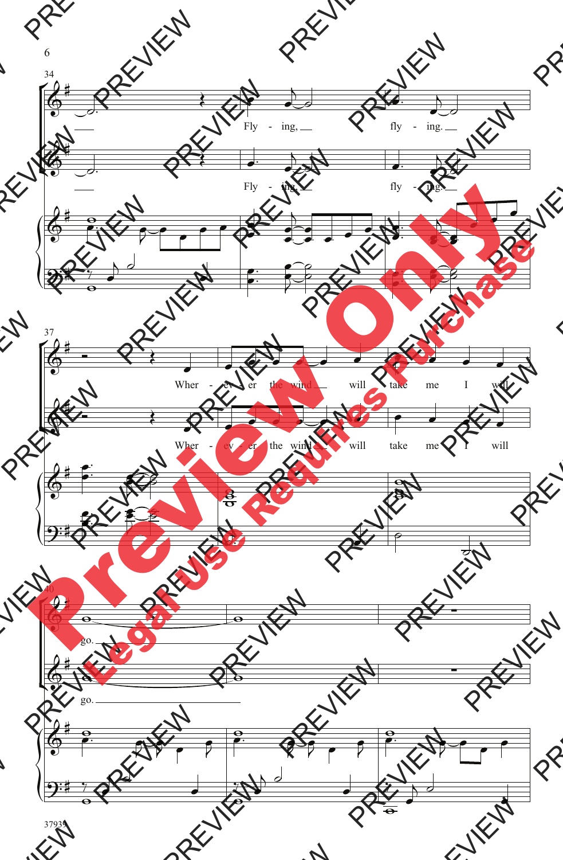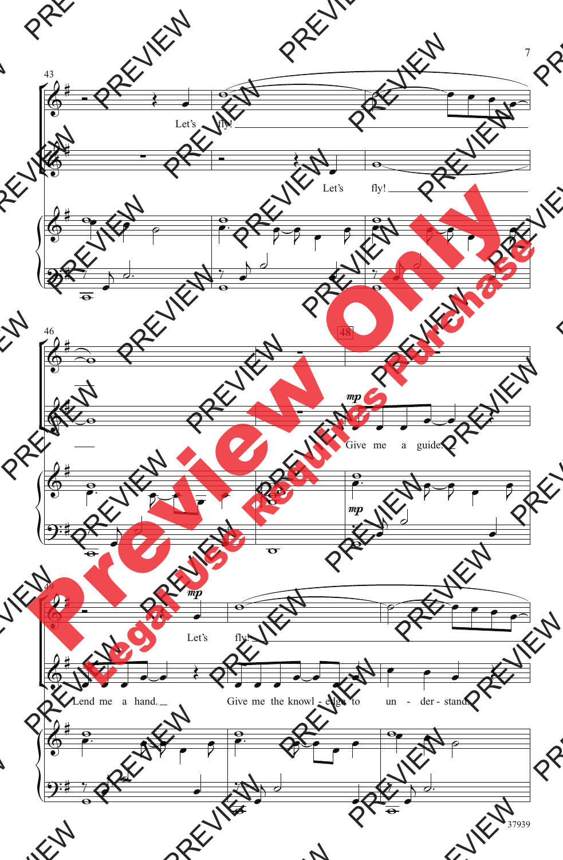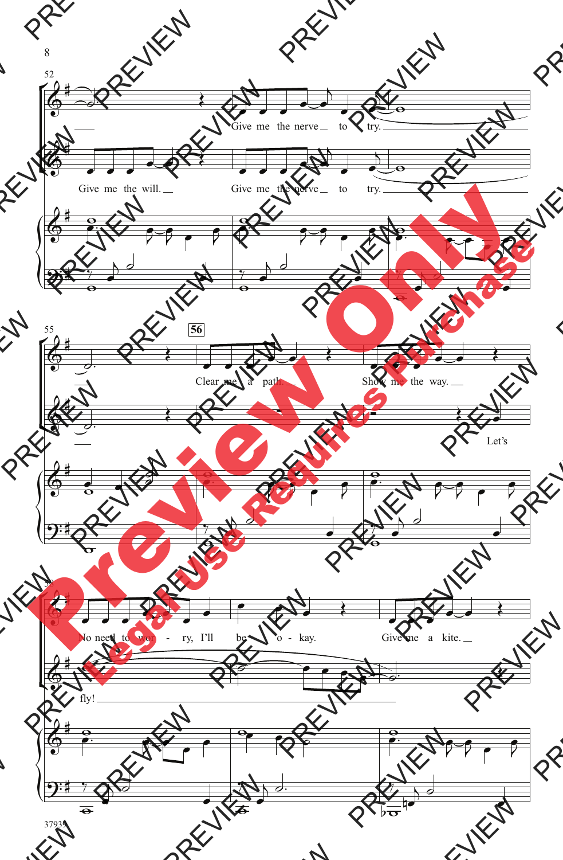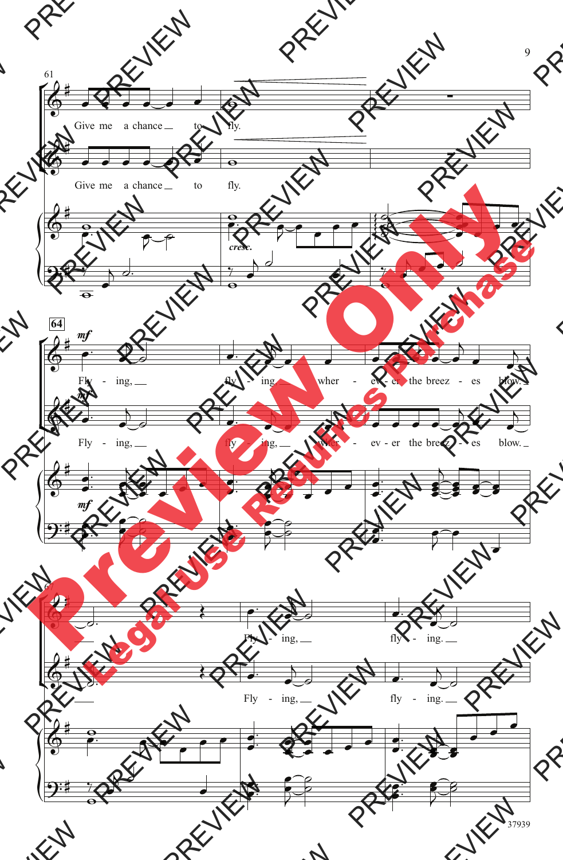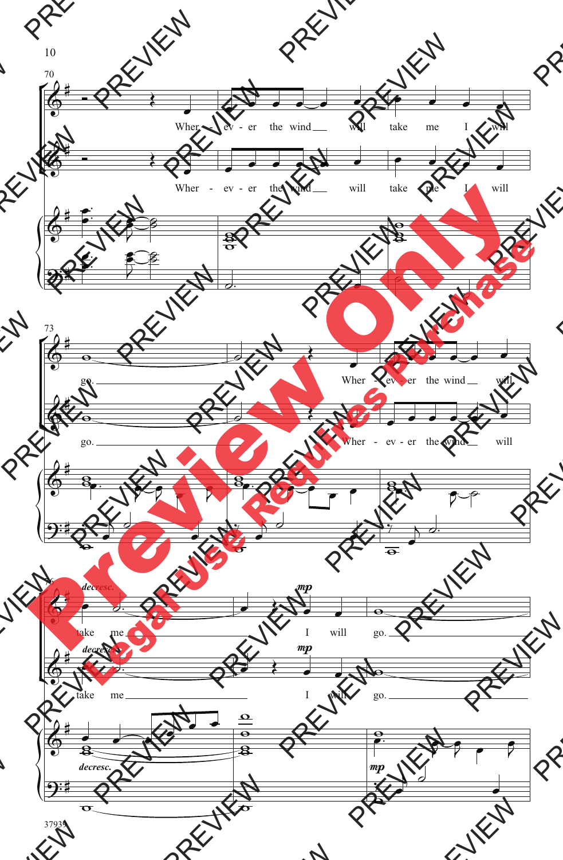